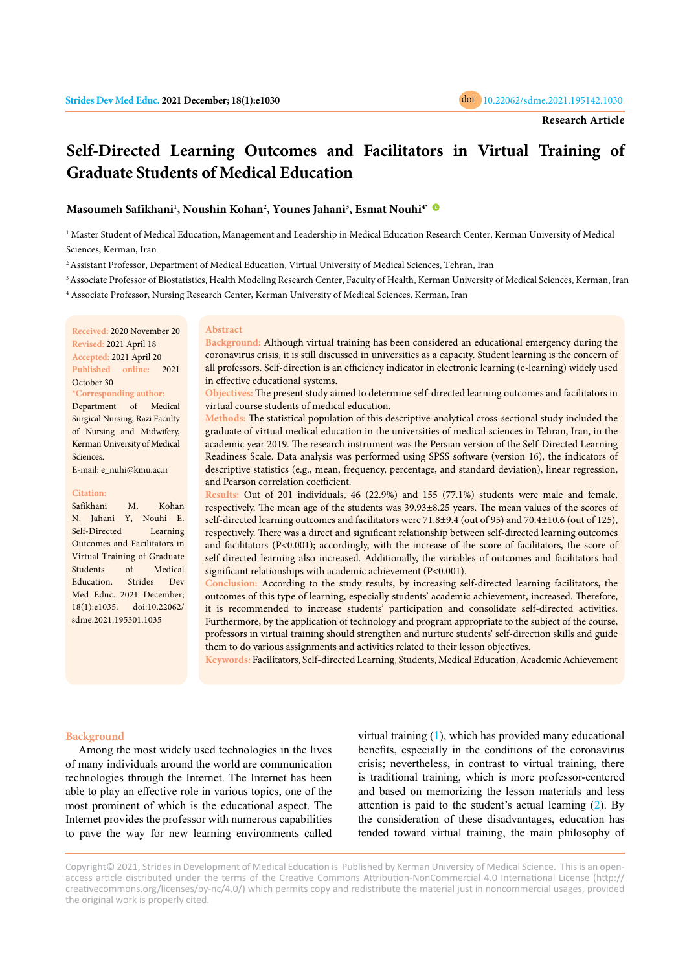

# **Self-Directed Learning Outcomes and Facilitators in Virtual Training of Graduate Students of Medical Education**

# **Masoumeh Safikhani<sup>1</sup> , Noushin Kohan<sup>2</sup> , Younes Jahani<sup>3</sup> , Esmat Nouhi4\***

1 Master Student of Medical Education, Management and Leadership in Medical Education Research Center, Kerman University of Medical Sciences, Kerman, Iran

<sup>2</sup>Assistant Professor, Department of Medical Education, Virtual University of Medical Sciences, Tehran, Iran

<sup>3</sup> Associate Professor of Biostatistics, Health Modeling Research Center, Faculty of Health, Kerman University of Medical Sciences, Kerman, Iran <sup>4</sup> Associate Professor, Nursing Research Center, Kerman University of Medical Sciences, Kerman, Iran

**Received:** 2020 November 20 **Revised:** 2021 April 18 **Accepted:** 2021 April 20 **Published online:** 2021 October 30

**\*Corresponding author:** Department of Medical Surgical Nursing, Razi Faculty of Nursing and Midwifery, Kerman University of Medical Sciences.

E-mail: e\_nuhi@kmu.ac.ir

#### **Citation:**

Safikhani M, Kohan N, Jahani Y, Nouhi E. Self-Directed Learning Outcomes and Facilitators in Virtual Training of Graduate Students of Medical Education. Strides Dev Med Educ. 2021 December; 18(1):e1035. doi:10.22062/ sdme.2021.195301.1035

#### **Abstract**

**Background:** Although virtual training has been considered an educational emergency during the coronavirus crisis, it is still discussed in universities as a capacity. Student learning is the concern of all professors. Self-direction is an efficiency indicator in electronic learning (e-learning) widely used in effective educational systems.

**Objectives:** The present study aimed to determine self-directed learning outcomes and facilitators in virtual course students of medical education.

**Methods:** The statistical population of this descriptive-analytical cross-sectional study included the graduate of virtual medical education in the universities of medical sciences in Tehran, Iran, in the academic year 2019. The research instrument was the Persian version of the Self-Directed Learning Readiness Scale. Data analysis was performed using SPSS software (version 16), the indicators of descriptive statistics (e.g., mean, frequency, percentage, and standard deviation), linear regression, and Pearson correlation coefficient.

**Results:** Out of 201 individuals, 46 (22.9%) and 155 (77.1%) students were male and female, respectively. The mean age of the students was 39.93±8.25 years. The mean values of the scores of self-directed learning outcomes and facilitators were 71.8±9.4 (out of 95) and 70.4±10.6 (out of 125), respectively. There was a direct and significant relationship between self-directed learning outcomes and facilitators (P<0.001); accordingly, with the increase of the score of facilitators, the score of self-directed learning also increased. Additionally, the variables of outcomes and facilitators had significant relationships with academic achievement (P<0.001).

**Conclusion:** According to the study results, by increasing self-directed learning facilitators, the outcomes of this type of learning, especially students' academic achievement, increased. Therefore, it is recommended to increase students' participation and consolidate self-directed activities. Furthermore, by the application of technology and program appropriate to the subject of the course, professors in virtual training should strengthen and nurture students' self-direction skills and guide them to do various assignments and activities related to their lesson objectives.

**Keywords:** Facilitators, Self-directed Learning, Students, Medical Education, Academic Achievement

# **Background**

Among the most widely used technologies in the lives of many individuals around the world are communication technologies through the Internet. The Internet has been able to play an effective role in various topics, one of the most prominent of which is the educational aspect. The Internet provides the professor with numerous capabilities to pave the way for new learning environments called virtual training [\(1](#page-5-0)), which has provided many educational benefits, especially in the conditions of the coronavirus crisis; nevertheless, in contrast to virtual training, there is traditional training, which is more professor-centered and based on memorizing the lesson materials and less attention is paid to the student's actual learning [\(2](#page-5-0)). By the consideration of these disadvantages, education has tended toward virtual training, the main philosophy of

Copyright© 2021, Strides in Development of Medical Education is Published by Kerman University of Medical Science. This is an openaccess article distributed under the terms of the Creative Commons Attribution-NonCommercial 4.0 International License (http:// creativecommons.org/licenses/by-nc/4.0/) which permits copy and redistribute the material just in noncommercial usages, provided the original work is properly cited.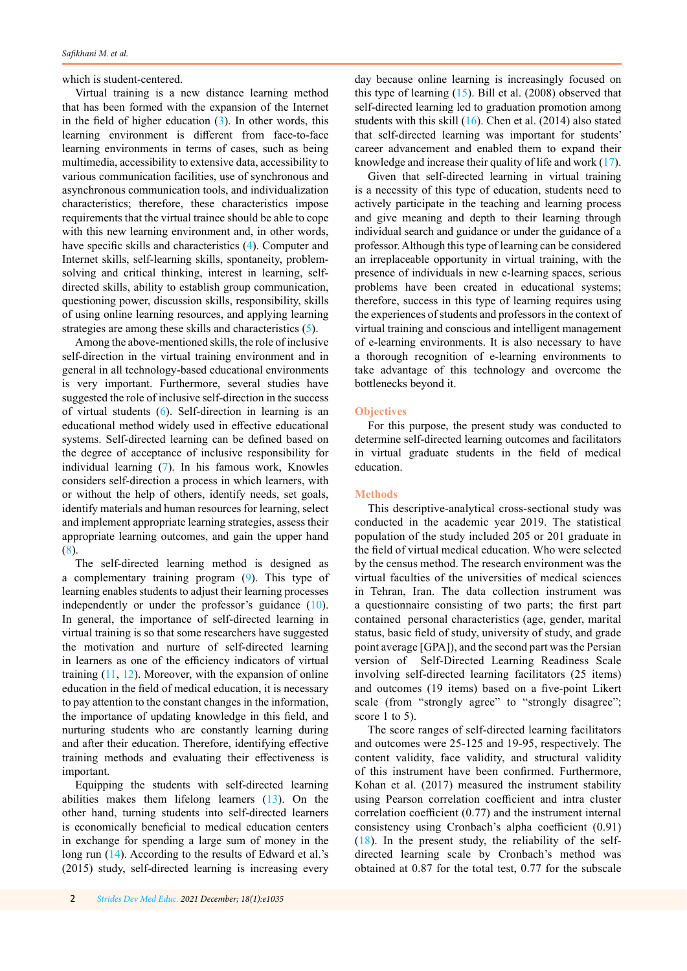which is student-centered.

Virtual training is a new distance learning method that has been formed with the expansion of the Internet in the field of higher education ([3](#page-5-0)). In other words, this learning environment is different from face-to-face learning environments in terms of cases, such as being multimedia, accessibility to extensive data, accessibility to various communication facilities, use of synchronous and asynchronous communication tools, and individualization characteristics; therefore, these characteristics impose requirements that the virtual trainee should be able to cope with this new learning environment and, in other words, have specific skills and characteristics ([4\)](#page-5-0). Computer and Internet skills, self-learning skills, spontaneity, problemsolving and critical thinking, interest in learning, selfdirected skills, ability to establish group communication, questioning power, discussion skills, responsibility, skills of using online learning resources, and applying learning strategies are among these skills and characteristics ([5](#page-5-0)).

Among the above-mentioned skills, the role of inclusive self-direction in the virtual training environment and in general in all technology-based educational environments is very important. Furthermore, several studies have suggested the role of inclusive self-direction in the success of virtual students ([6](#page-5-0)). Self-direction in learning is an educational method widely used in effective educational systems. Self-directed learning can be defined based on the degree of acceptance of inclusive responsibility for individual learning ([7](#page-5-0)). In his famous work, Knowles considers self-direction a process in which learners, with or without the help of others, identify needs, set goals, identify materials and human resources for learning, select and implement appropriate learning strategies, assess their appropriate learning outcomes, and gain the upper hand [\(8](#page-5-0)).

The self-directed learning method is designed as a complementary training program ([9\)](#page-5-0). This type of learning enables students to adjust their learning processes independently or under the professor's guidance [\(10](#page-5-0)). In general, the importance of self-directed learning in virtual training is so that some researchers have suggested the motivation and nurture of self-directed learning in learners as one of the efficiency indicators of virtual training  $(11, 12)$  $(11, 12)$  $(11, 12)$  $(11, 12)$ . Moreover, with the expansion of online education in the field of medical education, it is necessary to pay attention to the constant changes in the information, the importance of updating knowledge in this field, and nurturing students who are constantly learning during and after their education. Therefore, identifying effective training methods and evaluating their effectiveness is important.

Equipping the students with self-directed learning abilities makes them lifelong learners ([13](#page-5-0)). On the other hand, turning students into self-directed learners is economically beneficial to medical education centers in exchange for spending a large sum of money in the long run [\(14](#page-5-0)). According to the results of Edward et al.'s (2015) study, self-directed learning is increasing every day because online learning is increasingly focused on this type of learning  $(15)$  $(15)$ . Bill et al.  $(2008)$  observed that self-directed learning led to graduation promotion among students with this skill ([16](#page-5-0)). Chen et al. (2014) also stated that self-directed learning was important for students' career advancement and enabled them to expand their knowledge and increase their quality of life and work ([17\)](#page-5-0).

Given that self-directed learning in virtual training is a necessity of this type of education, students need to actively participate in the teaching and learning process and give meaning and depth to their learning through individual search and guidance or under the guidance of a professor. Although this type of learning can be considered an irreplaceable opportunity in virtual training, with the presence of individuals in new e-learning spaces, serious problems have been created in educational systems; therefore, success in this type of learning requires using the experiences of students and professors in the context of virtual training and conscious and intelligent management of e-learning environments. It is also necessary to have a thorough recognition of e-learning environments to take advantage of this technology and overcome the bottlenecks beyond it.

# **Objectives**

For this purpose, the present study was conducted to determine self-directed learning outcomes and facilitators in virtual graduate students in the field of medical education.

## **Methods**

This descriptive-analytical cross-sectional study was conducted in the academic year 2019. The statistical population of the study included 205 or 201 graduate in the field of virtual medical education. Who were selected by the census method. The research environment was the virtual faculties of the universities of medical sciences in Tehran, Iran. The data collection instrument was a questionnaire consisting of two parts; the first part contained personal characteristics (age, gender, marital status, basic field of study, university of study, and grade point average [GPA]), and the second part was the Persian version of Self-Directed Learning Readiness Scale involving self-directed learning facilitators (25 items) and outcomes (19 items) based on a five-point Likert scale (from "strongly agree" to "strongly disagree"; score 1 to 5).

The score ranges of self-directed learning facilitators and outcomes were 25-125 and 19-95, respectively. The content validity, face validity, and structural validity of this instrument have been confirmed. Furthermore, Kohan et al. (2017) measured the instrument stability using Pearson correlation coefficient and intra cluster correlation coefficient (0.77) and the instrument internal consistency using Cronbach's alpha coefficient (0.91)  $(18)$  $(18)$  $(18)$ . In the present study, the reliability of the selfdirected learning scale by Cronbach's method was obtained at 0.87 for the total test, 0.77 for the subscale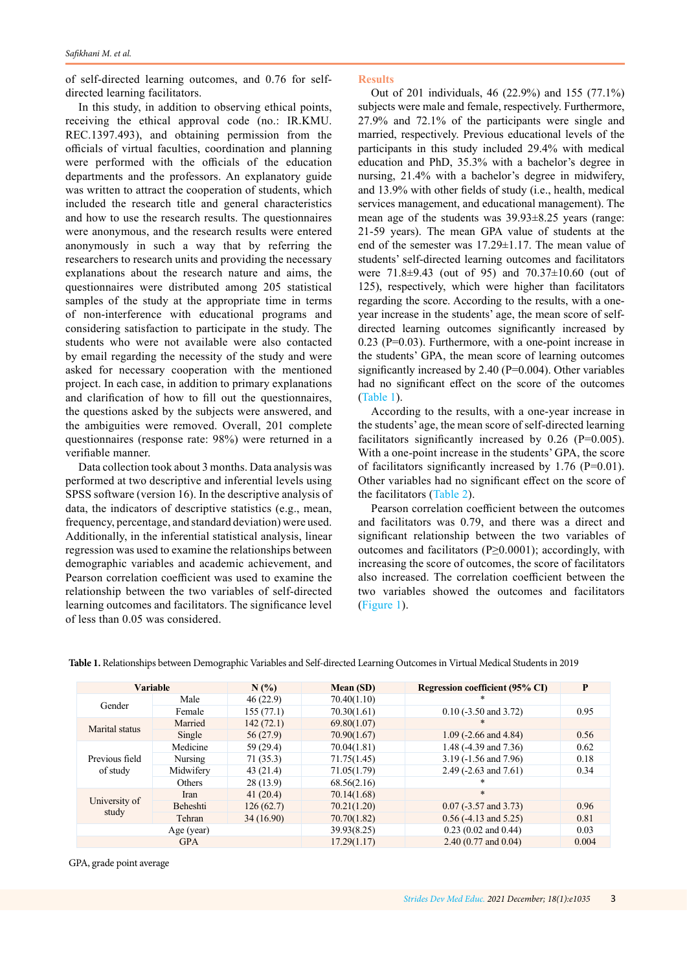of self-directed learning outcomes, and 0.76 for selfdirected learning facilitators.

In this study, in addition to observing ethical points, receiving the ethical approval code (no.: IR.KMU. REC.1397.493), and obtaining permission from the officials of virtual faculties, coordination and planning were performed with the officials of the education departments and the professors. An explanatory guide was written to attract the cooperation of students, which included the research title and general characteristics and how to use the research results. The questionnaires were anonymous, and the research results were entered anonymously in such a way that by referring the researchers to research units and providing the necessary explanations about the research nature and aims, the questionnaires were distributed among 205 statistical samples of the study at the appropriate time in terms of non-interference with educational programs and considering satisfaction to participate in the study. The students who were not available were also contacted by email regarding the necessity of the study and were asked for necessary cooperation with the mentioned project. In each case, in addition to primary explanations and clarification of how to fill out the questionnaires, the questions asked by the subjects were answered, and the ambiguities were removed. Overall, 201 complete questionnaires (response rate: 98%) were returned in a verifiable manner.

Data collection took about 3 months. Data analysis was performed at two descriptive and inferential levels using SPSS software (version 16). In the descriptive analysis of data, the indicators of descriptive statistics (e.g., mean, frequency, percentage, and standard deviation) were used. Additionally, in the inferential statistical analysis, linear regression was used to examine the relationships between demographic variables and academic achievement, and Pearson correlation coefficient was used to examine the relationship between the two variables of self-directed learning outcomes and facilitators. The significance level of less than 0.05 was considered.

**Results**

Out of 201 individuals, 46 (22.9%) and 155 (77.1%) subjects were male and female, respectively. Furthermore, 27.9% and 72.1% of the participants were single and married, respectively. Previous educational levels of the participants in this study included 29.4% with medical education and PhD, 35.3% with a bachelor's degree in nursing, 21.4% with a bachelor's degree in midwifery, and 13.9% with other fields of study (i.e., health, medical services management, and educational management). The mean age of the students was 39.93±8.25 years (range: 21-59 years). The mean GPA value of students at the end of the semester was 17.29±1.17. The mean value of students' self-directed learning outcomes and facilitators were 71.8±9.43 (out of 95) and 70.37±10.60 (out of 125), respectively, which were higher than facilitators regarding the score. According to the results, with a oneyear increase in the students' age, the mean score of selfdirected learning outcomes significantly increased by 0.23 (P=0.03). Furthermore, with a one-point increase in the students' GPA, the mean score of learning outcomes significantly increased by 2.40 (P=0.004). Other variables had no significant effect on the score of the outcomes (Table 1).

According to the results, with a one-year increase in the students' age, the mean score of self-directed learning facilitators significantly increased by  $0.26$  (P=0.005). With a one-point increase in the students' GPA, the score of facilitators significantly increased by 1.76 (P=0.01). Other variables had no significant effect on the score of the facilitators [\(Table 2\)](#page-3-0).

Pearson correlation coefficient between the outcomes and facilitators was 0.79, and there was a direct and significant relationship between the two variables of outcomes and facilitators (P≥0.0001); accordingly, with increasing the score of outcomes, the score of facilitators also increased. The correlation coefficient between the two variables showed the outcomes and facilitators ([Figure 1](#page-3-0)).

| <b>Variable</b>            |           | $N(\%)$    | Mean (SD)   | <b>Regression coefficient (95% CI)</b> | P     |
|----------------------------|-----------|------------|-------------|----------------------------------------|-------|
| Gender                     | Male      | 46(22.9)   | 70.40(1.10) | $\ast$                                 |       |
|                            | Female    | 155(77.1)  | 70.30(1.61) | $0.10$ (-3.50 and 3.72)                | 0.95  |
| Marital status             | Married   | 142(72.1)  | 69.80(1.07) |                                        |       |
|                            | Single    | 56(27.9)   | 70.90(1.67) | 1.09 $(-2.66$ and 4.84)                | 0.56  |
| Previous field<br>of study | Medicine  | 59 (29.4)  | 70.04(1.81) | 1.48 $(-4.39$ and $7.36$ )             | 0.62  |
|                            | Nursing   | 71 (35.3)  | 71.75(1.45) | 3.19 (-1.56 and 7.96)                  | 0.18  |
|                            | Midwifery | 43(21.4)   | 71.05(1.79) | 2.49 $(-2.63$ and $7.61)$              | 0.34  |
|                            | Others    | 28(13.9)   | 68.56(2.16) | *                                      |       |
| University of<br>study     | Iran      | 41(20.4)   | 70.14(1.68) | $\ast$                                 |       |
|                            | Beheshti  | 126(62.7)  | 70.21(1.20) | $0.07$ (-3.57 and 3.73)                | 0.96  |
|                            | Tehran    | 34 (16.90) | 70.70(1.82) | $0.56$ (-4.13 and 5.25)                | 0.81  |
| Age (year)                 |           |            | 39.93(8.25) | $0.23$ (0.02 and 0.44)                 | 0.03  |
| <b>GPA</b>                 |           |            | 17.29(1.17) | $2.40(0.77$ and $0.04$ )               | 0.004 |

**Table 1.** Relationships between Demographic Variables and Self-directed Learning Outcomes in Virtual Medical Students in 2019

GPA, grade point average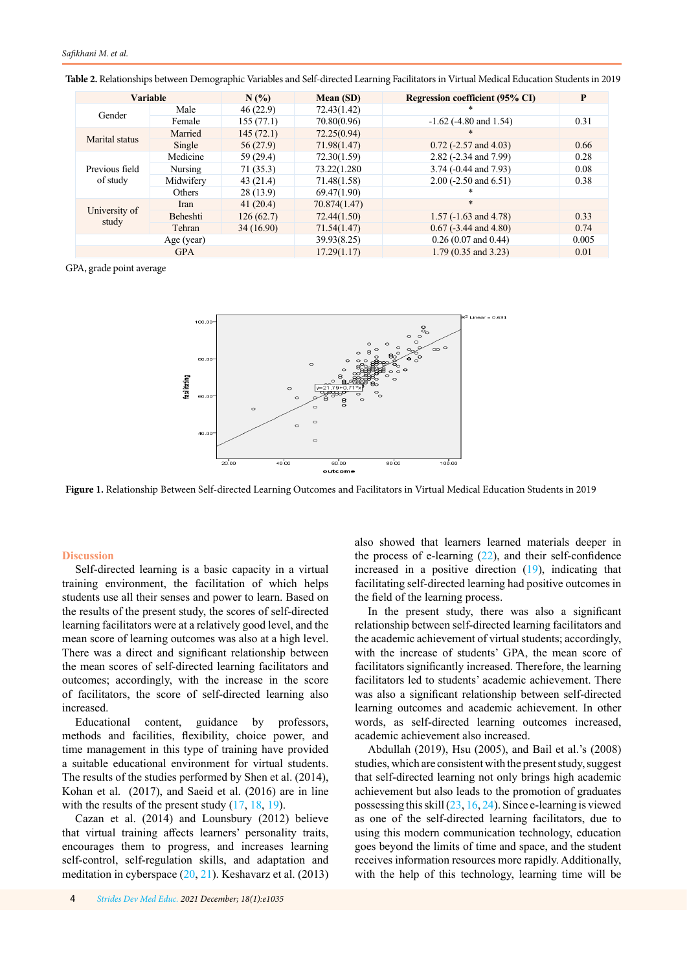| <b>Variable</b>            |                 | N(%       | Mean (SD)       | Regression coefficient (95% CI) | P     |
|----------------------------|-----------------|-----------|-----------------|---------------------------------|-------|
| Gender                     | Male            | 46(22.9)  | 72.43(1.42)     | *                               |       |
|                            | Female          | 155(77.1) | 70.80(0.96)     | $-1.62$ ( $-4.80$ and $1.54$ )  | 0.31  |
| Marital status             | Married         | 145(72.1) | 72.25(0.94)     | $\ast$                          |       |
|                            | Single          | 56 (27.9) | 71.98(1.47)     | $0.72$ (-2.57 and 4.03)         | 0.66  |
| Previous field<br>of study | Medicine        | 59 (29.4) | 72.30(1.59)     | 2.82 (-2.34 and 7.99)           | 0.28  |
|                            | Nursing         | 71(35.3)  | 73.22(1.280)    | 3.74 (-0.44 and 7.93)           | 0.08  |
|                            | Midwiferv       | 43(21.4)  | 71.48(1.58)     | $2.00$ (-2.50 and 6.51)         | 0.38  |
|                            | <b>Others</b>   | 28(13.9)  | 69.47(1.90)     | *                               |       |
| University of<br>study     | Iran            | 41(20.4)  | 70.874 $(1.47)$ | $\ast$                          |       |
|                            | <b>Beheshti</b> | 126(62.7) | 72.44(1.50)     | $1.57$ (-1.63 and 4.78)         | 0.33  |
|                            | Tehran          | 34(16.90) | 71.54 $(1.47)$  | $0.67$ (-3.44 and 4.80)         | 0.74  |
| Age (year)                 |                 |           | 39.93(8.25)     | $0.26(0.07$ and $0.44)$         | 0.005 |
| <b>GPA</b>                 |                 |           | 17.29(1.17)     | $1.79(0.35$ and $3.23)$         | 0.01  |

<span id="page-3-0"></span>**Table 2.** Relationships between Demographic Variables and Self-directed Learning Facilitators in Virtual Medical Education Students in 2019

GPA, grade point average



**Figure 1.** Relationship Between Self-directed Learning Outcomes and Facilitators in Virtual Medical Education Students in 2019

#### **Discussion**

Self-directed learning is a basic capacity in a virtual training environment, the facilitation of which helps students use all their senses and power to learn. Based on the results of the present study, the scores of self-directed learning facilitators were at a relatively good level, and the mean score of learning outcomes was also at a high level. There was a direct and significant relationship between the mean scores of self-directed learning facilitators and outcomes; accordingly, with the increase in the score of facilitators, the score of self-directed learning also increased.

Educational content, guidance by professors, methods and facilities, flexibility, choice power, and time management in this type of training have provided a suitable educational environment for virtual students. The results of the studies performed by Shen et al. (2014), Kohan et al. (2017), and Saeid et al. (2016) are in line with the results of the present study  $(17, 18, 19)$  $(17, 18, 19)$  $(17, 18, 19)$  $(17, 18, 19)$  $(17, 18, 19)$  $(17, 18, 19)$ .

Cazan et al. (2014) and Lounsbury (2012) believe that virtual training affects learners' personality traits, encourages them to progress, and increases learning self-control, self-regulation skills, and adaptation and meditation in cyberspace [\(20](#page-5-0), [21](#page-5-0)). Keshavarz et al. (2013) also showed that learners learned materials deeper in the process of e-learning  $(22)$  $(22)$  $(22)$ , and their self-confidence increased in a positive direction [\(19](#page-5-0)), indicating that facilitating self-directed learning had positive outcomes in the field of the learning process.

In the present study, there was also a significant relationship between self-directed learning facilitators and the academic achievement of virtual students; accordingly, with the increase of students' GPA, the mean score of facilitators significantly increased. Therefore, the learning facilitators led to students' academic achievement. There was also a significant relationship between self-directed learning outcomes and academic achievement. In other words, as self-directed learning outcomes increased, academic achievement also increased.

Abdullah (2019), Hsu (2005), and Bail et al.'s (2008) studies, which are consistent with the present study, suggest that self-directed learning not only brings high academic achievement but also leads to the promotion of graduates possessing this skill  $(23, 16, 24)$  $(23, 16, 24)$  $(23, 16, 24)$  $(23, 16, 24)$  $(23, 16, 24)$  $(23, 16, 24)$  $(23, 16, 24)$ . Since e-learning is viewed as one of the self-directed learning facilitators, due to using this modern communication technology, education goes beyond the limits of time and space, and the student receives information resources more rapidly. Additionally, with the help of this technology, learning time will be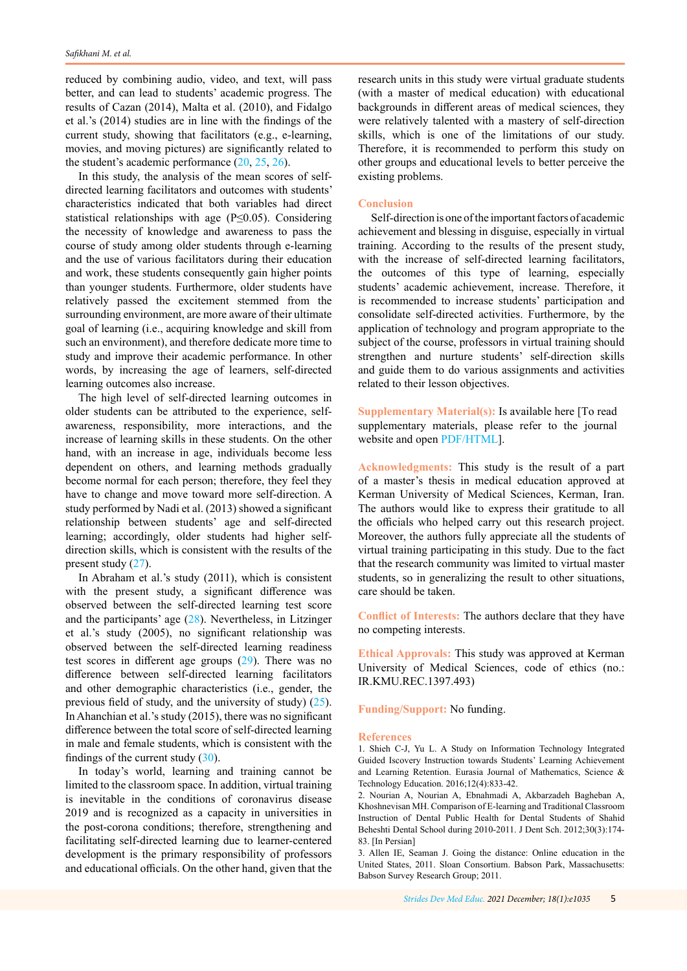reduced by combining audio, video, and text, will pass better, and can lead to students' academic progress. The results of Cazan (2014), Malta et al. (2010), and Fidalgo et al.'s (2014) studies are in line with the findings of the current study, showing that facilitators (e.g., e-learning, movies, and moving pictures) are significantly related to the student's academic performance [\(20](#page-5-0), [25](#page-5-0), [26](#page-5-0)).

In this study, the analysis of the mean scores of selfdirected learning facilitators and outcomes with students' characteristics indicated that both variables had direct statistical relationships with age (P≤0.05). Considering the necessity of knowledge and awareness to pass the course of study among older students through e-learning and the use of various facilitators during their education and work, these students consequently gain higher points than younger students. Furthermore, older students have relatively passed the excitement stemmed from the surrounding environment, are more aware of their ultimate goal of learning (i.e., acquiring knowledge and skill from such an environment), and therefore dedicate more time to study and improve their academic performance. In other words, by increasing the age of learners, self-directed learning outcomes also increase.

The high level of self-directed learning outcomes in older students can be attributed to the experience, selfawareness, responsibility, more interactions, and the increase of learning skills in these students. On the other hand, with an increase in age, individuals become less dependent on others, and learning methods gradually become normal for each person; therefore, they feel they have to change and move toward more self-direction. A study performed by Nadi et al. (2013) showed a significant relationship between students' age and self-directed learning; accordingly, older students had higher selfdirection skills, which is consistent with the results of the present study ([27\)](#page-5-0).

In Abraham et al.'s study (2011), which is consistent with the present study, a significant difference was observed between the self-directed learning test score and the participants' age [\(28](#page-5-0)). Nevertheless, in Litzinger et al.'s study (2005), no significant relationship was observed between the self-directed learning readiness test scores in different age groups ([29](#page-5-0)). There was no difference between self-directed learning facilitators and other demographic characteristics (i.e., gender, the previous field of study, and the university of study) ([25\)](#page-5-0). In Ahanchian et al.'s study (2015), there was no significant difference between the total score of self-directed learning in male and female students, which is consistent with the findings of the current study ([30](#page-5-0)).

In today's world, learning and training cannot be limited to the classroom space. In addition, virtual training is inevitable in the conditions of coronavirus disease 2019 and is recognized as a capacity in universities in the post-corona conditions; therefore, strengthening and facilitating self-directed learning due to learner-centered development is the primary responsibility of professors and educational officials. On the other hand, given that the

research units in this study were virtual graduate students (with a master of medical education) with educational backgrounds in different areas of medical sciences, they were relatively talented with a mastery of self-direction skills, which is one of the limitations of our study. Therefore, it is recommended to perform this study on other groups and educational levels to better perceive the existing problems.

## **Conclusion**

Self-direction is one of the important factors of academic achievement and blessing in disguise, especially in virtual training. According to the results of the present study, with the increase of self-directed learning facilitators, the outcomes of this type of learning, especially students' academic achievement, increase. Therefore, it is recommended to increase students' participation and consolidate self-directed activities. Furthermore, by the application of technology and program appropriate to the subject of the course, professors in virtual training should strengthen and nurture students' self-direction skills and guide them to do various assignments and activities related to their lesson objectives.

**Supplementary Material(s):** Is available here [To read supplementary materials, please refer to the journal website and open [PDF/HTML](http://sdme.kmu.ac.ir/jufile?ar_sfile=814100
)].

**Acknowledgments:** This study is the result of a part of a master's thesis in medical education approved at Kerman University of Medical Sciences, Kerman, Iran. The authors would like to express their gratitude to all the officials who helped carry out this research project. Moreover, the authors fully appreciate all the students of virtual training participating in this study. Due to the fact that the research community was limited to virtual master students, so in generalizing the result to other situations, care should be taken.

**Conflict of Interests:** The authors declare that they have no competing interests.

**Ethical Approvals:** This study was approved at Kerman University of Medical Sciences, code of ethics (no.: IR.KMU.REC.1397.493)

**Funding/Support:** No funding.

#### **References**

<sup>1.</sup> Shieh C-J, Yu L. A Study on Information Technology Integrated Guided Iscovery Instruction towards Students' Learning Achievement and Learning Retention. Eurasia Journal of Mathematics, Science & Technology Education. 2016;12(4):833-42.

<sup>2.</sup> Nourian A, Nourian A, Ebnahmadi A, Akbarzadeh Bagheban A, Khoshnevisan MH. Comparison of E-learning and Traditional Classroom Instruction of Dental Public Health for Dental Students of Shahid Beheshti Dental School during 2010-2011. J Dent Sch. 2012;30(3):174- 83. [In Persian]

<sup>3.</sup> Allen IE, Seaman J. Going the distance: Online education in the United States, 2011. Sloan Consortium. Babson Park, Massachusetts: Babson Survey Research Group; 2011.